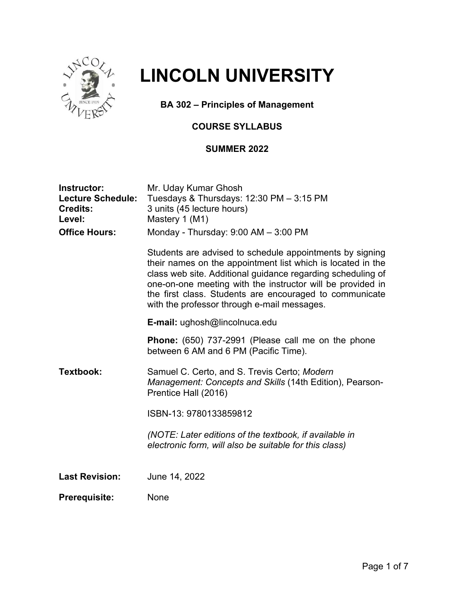

# **LINCOLN UNIVERSITY**

**BA 302 – Principles of Management**

# **COURSE SYLLABUS**

# **SUMMER 2022**

| Instructor:<br><b>Lecture Schedule:</b><br><b>Credits:</b><br>Level: | Mr. Uday Kumar Ghosh<br>Tuesdays & Thursdays: 12:30 PM - 3:15 PM<br>3 units (45 lecture hours)<br>Mastery 1 (M1)                                                                                                                                                                                                                                               |
|----------------------------------------------------------------------|----------------------------------------------------------------------------------------------------------------------------------------------------------------------------------------------------------------------------------------------------------------------------------------------------------------------------------------------------------------|
| <b>Office Hours:</b>                                                 | Monday - Thursday: $9:00$ AM $-$ 3:00 PM                                                                                                                                                                                                                                                                                                                       |
|                                                                      | Students are advised to schedule appointments by signing<br>their names on the appointment list which is located in the<br>class web site. Additional guidance regarding scheduling of<br>one-on-one meeting with the instructor will be provided in<br>the first class. Students are encouraged to communicate<br>with the professor through e-mail messages. |
|                                                                      | E-mail: ughosh@lincolnuca.edu                                                                                                                                                                                                                                                                                                                                  |
|                                                                      | <b>Phone:</b> (650) 737-2991 (Please call me on the phone<br>between 6 AM and 6 PM (Pacific Time).                                                                                                                                                                                                                                                             |
| Textbook:                                                            | Samuel C. Certo, and S. Trevis Certo; Modern<br>Management: Concepts and Skills (14th Edition), Pearson-<br>Prentice Hall (2016)                                                                                                                                                                                                                               |
|                                                                      | ISBN-13: 9780133859812                                                                                                                                                                                                                                                                                                                                         |
|                                                                      | (NOTE: Later editions of the textbook, if available in<br>electronic form, will also be suitable for this class)                                                                                                                                                                                                                                               |
| <b>Last Revision:</b>                                                | June 14, 2022                                                                                                                                                                                                                                                                                                                                                  |
| <b>Prerequisite:</b>                                                 | <b>None</b>                                                                                                                                                                                                                                                                                                                                                    |
|                                                                      |                                                                                                                                                                                                                                                                                                                                                                |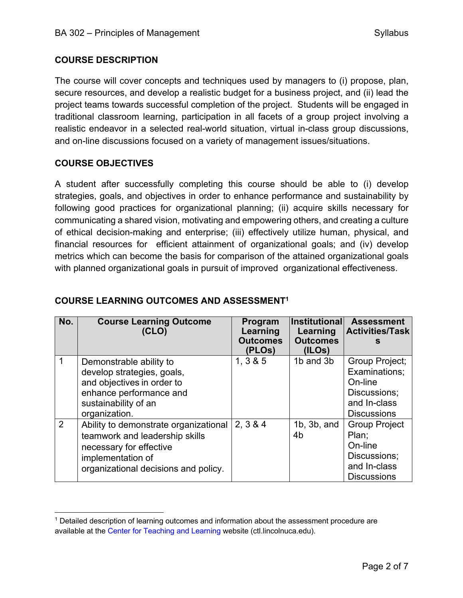### **COURSE DESCRIPTION**

The course will cover concepts and techniques used by managers to (i) propose, plan, secure resources, and develop a realistic budget for a business project, and (ii) lead the project teams towards successful completion of the project. Students will be engaged in traditional classroom learning, participation in all facets of a group project involving a realistic endeavor in a selected real-world situation, virtual in-class group discussions, and on-line discussions focused on a variety of management issues/situations.

### **COURSE OBJECTIVES**

A student after successfully completing this course should be able to (i) develop strategies, goals, and objectives in order to enhance performance and sustainability by following good practices for organizational planning; (ii) acquire skills necessary for communicating a shared vision, motivating and empowering others, and creating a culture of ethical decision-making and enterprise; (iii) effectively utilize human, physical, and financial resources for efficient attainment of organizational goals; and (iv) develop metrics which can become the basis for comparison of the attained organizational goals with planned organizational goals in pursuit of improved organizational effectiveness.

| No. | <b>Course Learning Outcome</b><br>(CLO)                                                                                                                         | Program<br>Learning<br><b>Outcomes</b><br>(PLOs) | <b>Institutional</b><br>Learning<br><b>Outcomes</b><br>(ILOS) | <b>Assessment</b><br><b>Activities/Task</b>                                                      |
|-----|-----------------------------------------------------------------------------------------------------------------------------------------------------------------|--------------------------------------------------|---------------------------------------------------------------|--------------------------------------------------------------------------------------------------|
|     | Demonstrable ability to<br>develop strategies, goals,<br>and objectives in order to<br>enhance performance and<br>sustainability of an<br>organization.         | 1, 3 & 8 & 5                                     | 1b and 3b                                                     | Group Project;<br>Examinations;<br>On-line<br>Discussions;<br>and In-class<br><b>Discussions</b> |
| 2   | Ability to demonstrate organizational<br>teamwork and leadership skills<br>necessary for effective<br>implementation of<br>organizational decisions and policy. | 2, 3 & 4                                         | $1b$ , $3b$ , and<br>4 <sub>b</sub>                           | <b>Group Project</b><br>Plan:<br>On-line<br>Discussions;<br>and In-class<br><b>Discussions</b>   |

# **COURSE LEARNING OUTCOMES AND ASSESSMENT1**

 $1$  Detailed description of learning outcomes and information about the assessment procedure are available at the Center for Teaching and Learning website (ctl.lincolnuca.edu).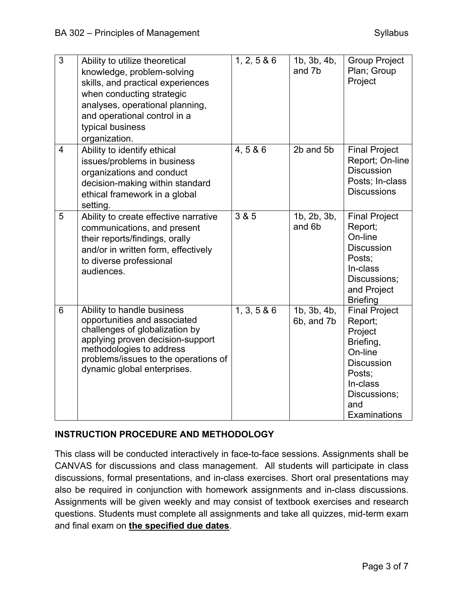| 3              | Ability to utilize theoretical<br>knowledge, problem-solving<br>skills, and practical experiences<br>when conducting strategic<br>analyses, operational planning,<br>and operational control in a<br>typical business<br>organization. | 1, 2, 5 & 6 | 1b, 3b, 4b,<br>and 7b                   | <b>Group Project</b><br>Plan; Group<br>Project                                                                                                       |
|----------------|----------------------------------------------------------------------------------------------------------------------------------------------------------------------------------------------------------------------------------------|-------------|-----------------------------------------|------------------------------------------------------------------------------------------------------------------------------------------------------|
| $\overline{4}$ | Ability to identify ethical<br>issues/problems in business<br>organizations and conduct<br>decision-making within standard<br>ethical framework in a global<br>setting.                                                                | 4,5 & 6     | 2b and 5b                               | <b>Final Project</b><br>Report; On-line<br><b>Discussion</b><br>Posts; In-class<br><b>Discussions</b>                                                |
| 5              | Ability to create effective narrative<br>communications, and present<br>their reports/findings, orally<br>and/or in written form, effectively<br>to diverse professional<br>audiences.                                                 | 3 & 5       | 1b, 2b, 3b,<br>and 6b                   | <b>Final Project</b><br>Report;<br>On-line<br><b>Discussion</b><br>Posts;<br>In-class<br>Discussions;<br>and Project<br><b>Briefing</b>              |
| 6              | Ability to handle business<br>opportunities and associated<br>challenges of globalization by<br>applying proven decision-support<br>methodologies to address<br>problems/issues to the operations of<br>dynamic global enterprises.    | 1, 3, 5 & 6 | $\overline{1}$ b, 3b, 4b,<br>6b, and 7b | <b>Final Project</b><br>Report;<br>Project<br>Briefing,<br>On-line<br><b>Discussion</b><br>Posts;<br>In-class<br>Discussions;<br>and<br>Examinations |

# **INSTRUCTION PROCEDURE AND METHODOLOGY**

This class will be conducted interactively in face-to-face sessions. Assignments shall be CANVAS for discussions and class management. All students will participate in class discussions, formal presentations, and in-class exercises. Short oral presentations may also be required in conjunction with homework assignments and in-class discussions. Assignments will be given weekly and may consist of textbook exercises and research questions. Students must complete all assignments and take all quizzes, mid-term exam and final exam on **the specified due dates**.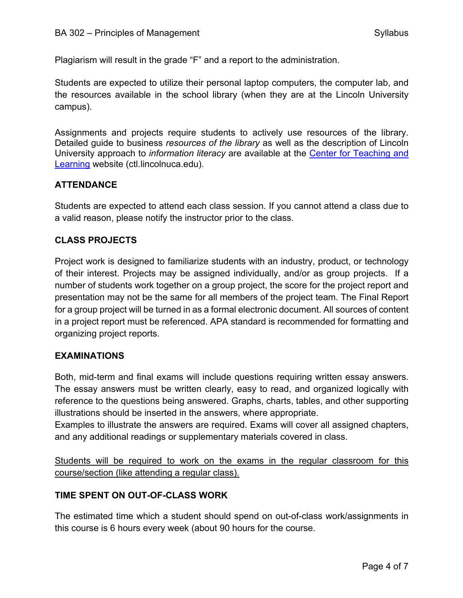Plagiarism will result in the grade "F" and a report to the administration.

Students are expected to utilize their personal laptop computers, the computer lab, and the resources available in the school library (when they are at the Lincoln University campus).

Assignments and projects require students to actively use resources of the library. Detailed guide to business *resources of the library* as well as the description of Lincoln University approach to *information literacy* are available at the Center for Teaching and Learning website (ctl.lincolnuca.edu).

### **ATTENDANCE**

Students are expected to attend each class session. If you cannot attend a class due to a valid reason, please notify the instructor prior to the class.

#### **CLASS PROJECTS**

Project work is designed to familiarize students with an industry, product, or technology of their interest. Projects may be assigned individually, and/or as group projects. If a number of students work together on a group project, the score for the project report and presentation may not be the same for all members of the project team. The Final Report for a group project will be turned in as a formal electronic document. All sources of content in a project report must be referenced. APA standard is recommended for formatting and organizing project reports.

#### **EXAMINATIONS**

Both, mid-term and final exams will include questions requiring written essay answers. The essay answers must be written clearly, easy to read, and organized logically with reference to the questions being answered. Graphs, charts, tables, and other supporting illustrations should be inserted in the answers, where appropriate.

Examples to illustrate the answers are required. Exams will cover all assigned chapters, and any additional readings or supplementary materials covered in class.

Students will be required to work on the exams in the regular classroom for this course/section (like attending a regular class).

#### **TIME SPENT ON OUT-OF-CLASS WORK**

The estimated time which a student should spend on out-of-class work/assignments in this course is 6 hours every week (about 90 hours for the course.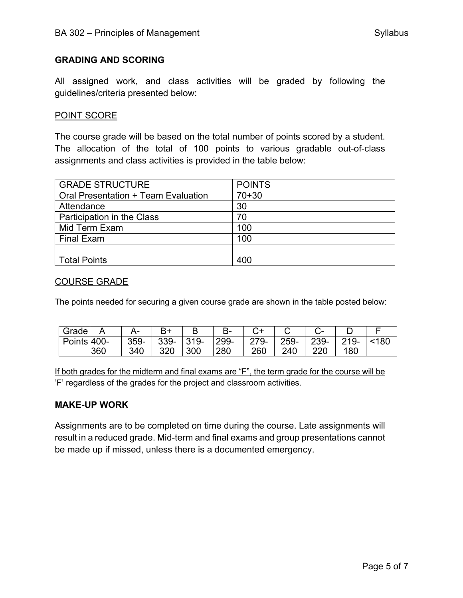#### **GRADING AND SCORING**

All assigned work, and class activities will be graded by following the guidelines/criteria presented below:

#### POINT SCORE

The course grade will be based on the total number of points scored by a student. The allocation of the total of 100 points to various gradable out-of-class assignments and class activities is provided in the table below:

| <b>GRADE STRUCTURE</b>              | <b>POINTS</b> |
|-------------------------------------|---------------|
| Oral Presentation + Team Evaluation | $70 + 30$     |
| Attendance                          | 30            |
| Participation in the Class          | 70            |
| Mid Term Exam                       | 100           |
| <b>Final Exam</b>                   | 100           |
|                                     |               |
| <b>Total Points</b>                 | 400           |

#### COURSE GRADE

The points needed for securing a given course grade are shown in the table posted below:

| Grade         |     |      |            |      | $R_{-}$ | ∼≖   |      |      |         |    |
|---------------|-----|------|------------|------|---------|------|------|------|---------|----|
| Points $400-$ |     | 359- | 339-       | 319- | 299-    | 279- | 259- | 239- | $219 -$ | 80 |
|               | 360 | 340  | חרכ<br>ა∠∪ | 300  | 280     | 260  | 240  | 22C  | 180     |    |

If both grades for the midterm and final exams are "F", the term grade for the course will be 'F' regardless of the grades for the project and classroom activities.

#### **MAKE-UP WORK**

Assignments are to be completed on time during the course. Late assignments will result in a reduced grade. Mid-term and final exams and group presentations cannot be made up if missed, unless there is a documented emergency.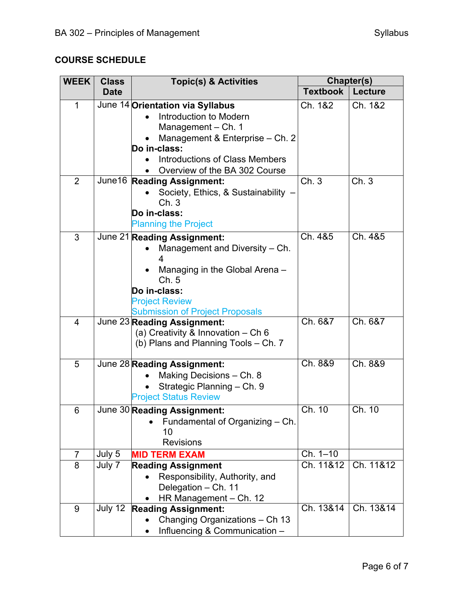# **COURSE SCHEDULE**

| <b>WEEK</b>    | <b>Class</b> | <b>Topic(s) &amp; Activities</b>                                                                                                                                                                              | Chapter(s)      |                |  |
|----------------|--------------|---------------------------------------------------------------------------------------------------------------------------------------------------------------------------------------------------------------|-----------------|----------------|--|
|                | <b>Date</b>  |                                                                                                                                                                                                               | <b>Textbook</b> | <b>Lecture</b> |  |
| $\mathbf{1}$   |              | June 14 Orientation via Syllabus<br>Introduction to Modern<br>Management - Ch. 1<br>Management & Enterprise - Ch. 2<br>Do in-class:<br><b>Introductions of Class Members</b><br>Overview of the BA 302 Course | Ch. 1&2         | Ch. 1&2        |  |
| $\overline{2}$ | June16       | <b>Reading Assignment:</b><br>Society, Ethics, & Sustainability -<br>Ch.3<br>Do in-class:<br><b>Planning the Project</b>                                                                                      | Ch.3            | Ch.3           |  |
| 3              |              | June 21 Reading Assignment:<br>Management and Diversity - Ch.<br>4<br>Managing in the Global Arena -<br>Ch.5<br>Do in-class:<br><b>Project Review</b><br><b>Submission of Project Proposals</b>               | Ch. 4&5         | Ch. 4&5        |  |
| 4              |              | June 23 Reading Assignment:<br>(a) Creativity & Innovation - Ch 6<br>(b) Plans and Planning Tools - Ch. 7                                                                                                     | Ch. 6&7         | Ch. 6&7        |  |
| 5              |              | June 28 Reading Assignment:<br>Making Decisions - Ch. 8<br>Strategic Planning - Ch. 9<br><b>Project Status Review</b>                                                                                         | Ch. 8&9         | Ch. 8&9        |  |
| 6              |              | June 30 Reading Assignment:<br>Fundamental of Organizing - Ch.<br>10<br><b>Revisions</b>                                                                                                                      | Ch. $10$        | Ch. 10         |  |
| $\overline{7}$ | July 5       | <b>MID TERM EXAM</b>                                                                                                                                                                                          | $Ch. 1 - 10$    |                |  |
| 8              | July 7       | <b>Reading Assignment</b><br>Responsibility, Authority, and<br>Delegation - Ch. 11<br>HR Management - Ch. 12                                                                                                  | Ch. 11&12       | Ch. 11&12      |  |
| 9              | July $12$    | <b>Reading Assignment:</b><br>Changing Organizations - Ch 13<br>Influencing & Communication -                                                                                                                 | Ch. 13&14       | Ch. 13&14      |  |